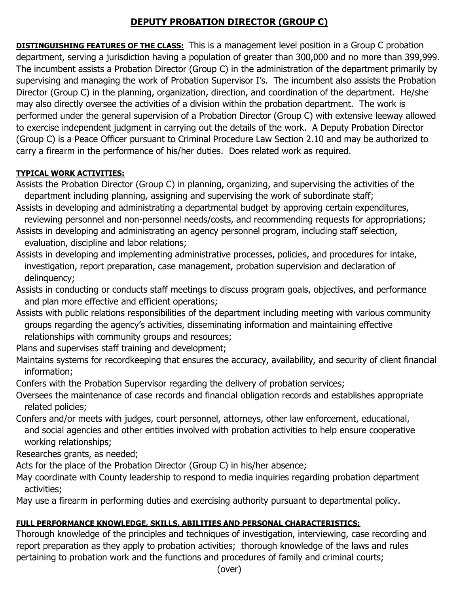# **DEPUTY PROBATION DIRECTOR (GROUP C)**

**DISTINGUISHING FEATURES OF THE CLASS:** This is a management level position in a Group C probation department, serving a jurisdiction having a population of greater than 300,000 and no more than 399,999. The incumbent assists a Probation Director (Group C) in the administration of the department primarily by supervising and managing the work of Probation Supervisor I's. The incumbent also assists the Probation Director (Group C) in the planning, organization, direction, and coordination of the department. He/she may also directly oversee the activities of a division within the probation department. The work is performed under the general supervision of a Probation Director (Group C) with extensive leeway allowed to exercise independent judgment in carrying out the details of the work. A Deputy Probation Director (Group C) is a Peace Officer pursuant to Criminal Procedure Law Section 2.10 and may be authorized to carry a firearm in the performance of his/her duties. Does related work as required.

## **TYPICAL WORK ACTIVITIES:**

- Assists the Probation Director (Group C) in planning, organizing, and supervising the activities of the department including planning, assigning and supervising the work of subordinate staff;
- Assists in developing and administrating a departmental budget by approving certain expenditures, reviewing personnel and non-personnel needs/costs, and recommending requests for appropriations;
- Assists in developing and administrating an agency personnel program, including staff selection, evaluation, discipline and labor relations;
- Assists in developing and implementing administrative processes, policies, and procedures for intake, investigation, report preparation, case management, probation supervision and declaration of delinquency;
- Assists in conducting or conducts staff meetings to discuss program goals, objectives, and performance and plan more effective and efficient operations;
- Assists with public relations responsibilities of the department including meeting with various community groups regarding the agency's activities, disseminating information and maintaining effective relationships with community groups and resources;
- Plans and supervises staff training and development;
- Maintains systems for recordkeeping that ensures the accuracy, availability, and security of client financial information;
- Confers with the Probation Supervisor regarding the delivery of probation services;
- Oversees the maintenance of case records and financial obligation records and establishes appropriate related policies;
- Confers and/or meets with judges, court personnel, attorneys, other law enforcement, educational, and social agencies and other entities involved with probation activities to help ensure cooperative working relationships;
- Researches grants, as needed;
- Acts for the place of the Probation Director (Group C) in his/her absence;
- May coordinate with County leadership to respond to media inquiries regarding probation department activities;
- May use a firearm in performing duties and exercising authority pursuant to departmental policy.

## **FULL PERFORMANCE KNOWLEDGE, SKILLS, ABILITIES AND PERSONAL CHARACTERISTICS:**

Thorough knowledge of the principles and techniques of investigation, interviewing, case recording and report preparation as they apply to probation activities; thorough knowledge of the laws and rules pertaining to probation work and the functions and procedures of family and criminal courts;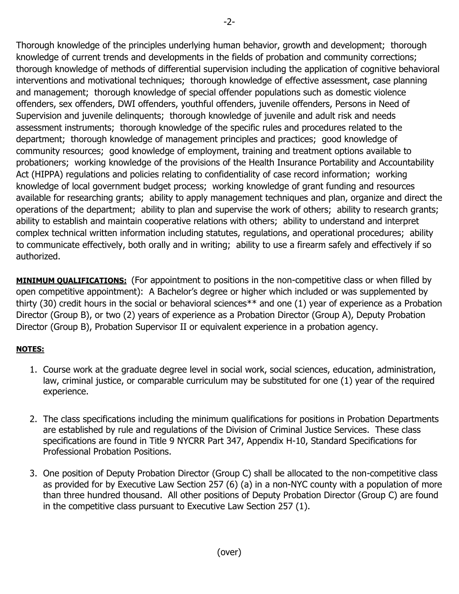Thorough knowledge of the principles underlying human behavior, growth and development; thorough knowledge of current trends and developments in the fields of probation and community corrections; thorough knowledge of methods of differential supervision including the application of cognitive behavioral interventions and motivational techniques; thorough knowledge of effective assessment, case planning and management; thorough knowledge of special offender populations such as domestic violence offenders, sex offenders, DWI offenders, youthful offenders, juvenile offenders, Persons in Need of Supervision and juvenile delinquents; thorough knowledge of juvenile and adult risk and needs assessment instruments; thorough knowledge of the specific rules and procedures related to the department; thorough knowledge of management principles and practices; good knowledge of community resources; good knowledge of employment, training and treatment options available to probationers; working knowledge of the provisions of the Health Insurance Portability and Accountability Act (HIPPA) regulations and policies relating to confidentiality of case record information; working knowledge of local government budget process; working knowledge of grant funding and resources available for researching grants; ability to apply management techniques and plan, organize and direct the operations of the department; ability to plan and supervise the work of others; ability to research grants; ability to establish and maintain cooperative relations with others; ability to understand and interpret complex technical written information including statutes, regulations, and operational procedures; ability

to communicate effectively, both orally and in writing; ability to use a firearm safely and effectively if so authorized.

**MINIMUM QUALIFICATIONS:** (For appointment to positions in the non-competitive class or when filled by open competitive appointment): A Bachelor's degree or higher which included or was supplemented by thirty (30) credit hours in the social or behavioral sciences\*\* and one (1) year of experience as a Probation Director (Group B), or two (2) years of experience as a Probation Director (Group A), Deputy Probation Director (Group B), Probation Supervisor II or equivalent experience in a probation agency.

## **NOTES:**

- 1. Course work at the graduate degree level in social work, social sciences, education, administration, law, criminal justice, or comparable curriculum may be substituted for one (1) year of the required experience.
- 2. The class specifications including the minimum qualifications for positions in Probation Departments are established by rule and regulations of the Division of Criminal Justice Services. These class specifications are found in Title 9 NYCRR Part 347, Appendix H-10, Standard Specifications for Professional Probation Positions.
- 3. One position of Deputy Probation Director (Group C) shall be allocated to the non-competitive class as provided for by Executive Law Section 257 (6) (a) in a non-NYC county with a population of more than three hundred thousand. All other positions of Deputy Probation Director (Group C) are found in the competitive class pursuant to Executive Law Section 257 (1).